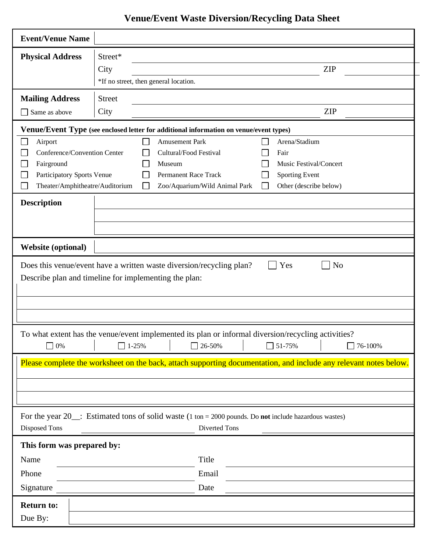## **Venue/Event Waste Diversion/Recycling Data Sheet**

| <b>Event/Venue Name</b>                                                                                                                                |                                                                                                                                                                                                                                                 |  |  |  |  |  |  |  |
|--------------------------------------------------------------------------------------------------------------------------------------------------------|-------------------------------------------------------------------------------------------------------------------------------------------------------------------------------------------------------------------------------------------------|--|--|--|--|--|--|--|
| <b>Physical Address</b>                                                                                                                                | Street*                                                                                                                                                                                                                                         |  |  |  |  |  |  |  |
|                                                                                                                                                        | <b>ZIP</b><br>City                                                                                                                                                                                                                              |  |  |  |  |  |  |  |
|                                                                                                                                                        | *If no street, then general location.                                                                                                                                                                                                           |  |  |  |  |  |  |  |
| <b>Mailing Address</b>                                                                                                                                 | <b>Street</b>                                                                                                                                                                                                                                   |  |  |  |  |  |  |  |
| Same as above                                                                                                                                          | <b>ZIP</b><br>City                                                                                                                                                                                                                              |  |  |  |  |  |  |  |
| Venue/Event Type (see enclosed letter for additional information on venue/event types)                                                                 |                                                                                                                                                                                                                                                 |  |  |  |  |  |  |  |
| Airport<br>$\sim$<br>Conference/Convention Center<br>Fairground<br>L.<br>Participatory Sports Venue<br>Theater/Amphitheatre/Auditorium                 | Arena/Stadium<br><b>Amusement Park</b><br>Cultural/Food Festival<br>Fair<br>Music Festival/Concert<br>Museum<br><b>Sporting Event</b><br><b>Permanent Race Track</b><br>Zoo/Aquarium/Wild Animal Park<br>Other (describe below)<br>$\mathbf{I}$ |  |  |  |  |  |  |  |
| <b>Description</b>                                                                                                                                     |                                                                                                                                                                                                                                                 |  |  |  |  |  |  |  |
| <b>Website (optional)</b>                                                                                                                              |                                                                                                                                                                                                                                                 |  |  |  |  |  |  |  |
| Yes<br>N <sub>o</sub><br>Does this venue/event have a written waste diversion/recycling plan?<br>Describe plan and timeline for implementing the plan: |                                                                                                                                                                                                                                                 |  |  |  |  |  |  |  |
| 0%                                                                                                                                                     | To what extent has the venue/event implemented its plan or informal diversion/recycling activities?<br>51-75%<br>76-100%<br>1-25%<br>26-50%<br>$\overline{\phantom{0}}$<br>$\mathcal{L}$                                                        |  |  |  |  |  |  |  |
| Please complete the worksheet on the back, attach supporting documentation, and include any relevant notes below.                                      |                                                                                                                                                                                                                                                 |  |  |  |  |  |  |  |
| For the year $20$ : Estimated tons of solid waste (1 ton = 2000 pounds. Do not include hazardous wastes)<br>Diverted Tons<br>Disposed Tons             |                                                                                                                                                                                                                                                 |  |  |  |  |  |  |  |
| This form was prepared by:                                                                                                                             |                                                                                                                                                                                                                                                 |  |  |  |  |  |  |  |
| Name                                                                                                                                                   | Title                                                                                                                                                                                                                                           |  |  |  |  |  |  |  |
| Phone                                                                                                                                                  | Email                                                                                                                                                                                                                                           |  |  |  |  |  |  |  |
| Signature                                                                                                                                              | Date                                                                                                                                                                                                                                            |  |  |  |  |  |  |  |
| <b>Return to:</b><br>Due By:                                                                                                                           |                                                                                                                                                                                                                                                 |  |  |  |  |  |  |  |